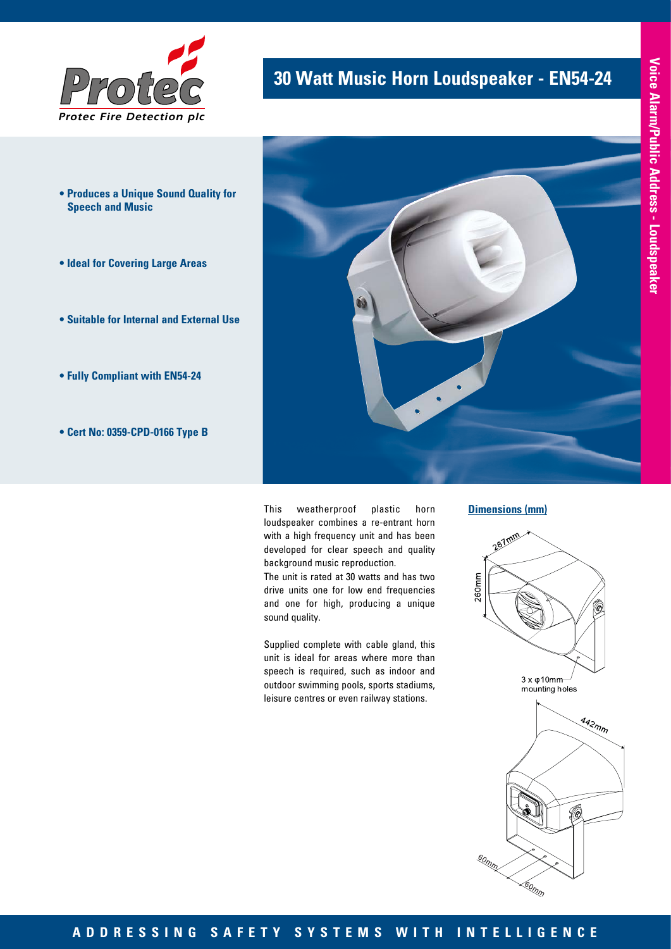

- **Produces a Unique Sound Quality for Speech and Music**
- **Ideal for Covering Large Areas**
- **Suitable for Internal and External Use**
- **Fully Compliant with EN54-24**
- **Cert No: 0359-CPD-0166 Type B**

# **30 Watt Music Horn Loudspeaker - EN54-24**



This weatherproof plastic horn loudspeaker combines a re-entrant horn with a high frequency unit and has been developed for clear speech and quality background music reproduction.

The unit is rated at 30 watts and has two drive units one for low end frequencies and one for high, producing a unique sound quality.

Supplied complete with cable gland, this unit is ideal for areas where more than speech is required, such as indoor and outdoor swimming pools, sports stadiums, leisure centres or even railway stations.

#### **Dimensions (mm)**



so<sub>mm</sub>